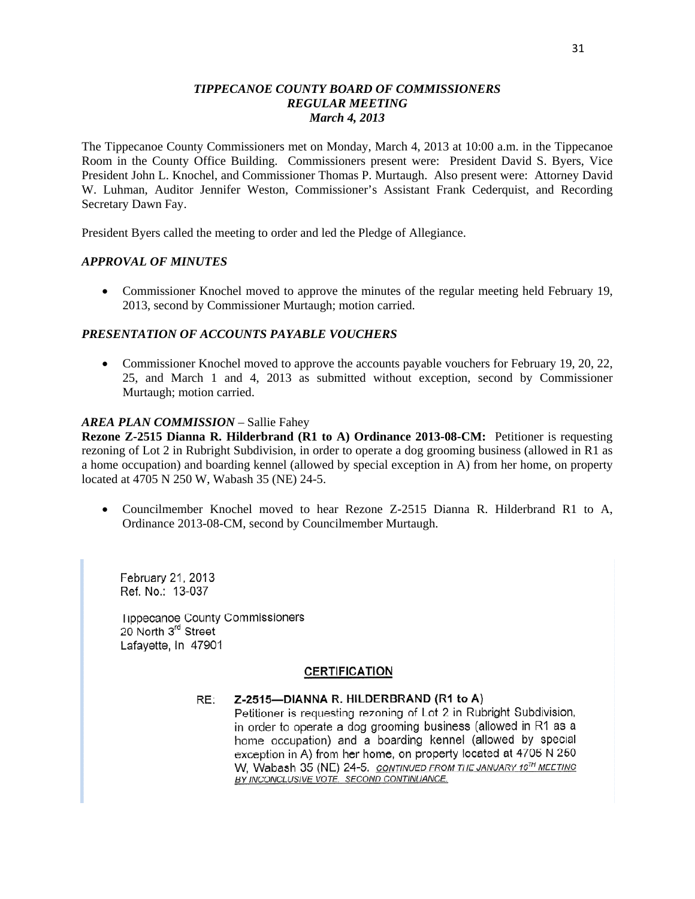### *TIPPECANOE COUNTY BOARD OF COMMISSIONERS TIPPE CANOE COUNT Y BOARD* OF *COMMISSIONERS REGULAR MEETING REGULAR MEETING March 4, 2013 March* 4, *2013*

The Tippecanoe County Commissioners met on Monday, March 4, 2013 at 10:00 a.m. in the Tippecanoe The Tippecanoe County Commissioners met on Monday, March 4, 2013 at 10:00 a.m. in the Tippecanoe Room in the County Office Building. Commissioners present were: President David S. Byers, Vice Room in the County Office Building. Commissioners present were: President David S. Byers, **Vice**  President John L. Knochel, and Commissioner Thomas P. Murtaugh. Also present were: Attorney David President John L. Knochel, and Commissioner Thomas P. Murtaugh. Also present were: Attorney David W. Luhman, Auditor Jennifer Weston, Commissioner's Assistant Frank Cederquist, and Recording W. Luhman, Auditor Jennifer Weston, Commissioner's Assistant Frank Cederquist, and Recording Secretary Dawn Fay. Secretary Dawn Fay.

President Byers called the meeting to order and led the Pledge of Allegiance. President Byers called the meeting to order and led the Pledge of Allegiance.

#### *APPROVAL OF MINUTES APPROVAL* OF *MINUTES*

• Commissioner Knochel moved to approve the minutes of the regular meeting held February 19, 2013, second by Commissioner Murtaugh; motion carried. 2013, second by Commissioner Murtaugh; motion carried.

#### *PRESENTATION OF ACCOUNTS PAYABLE VOUCHERS PRESENTATION* OF *ACCOUNTS PAYABLE VOUCHERS*

• Commissioner Knochel moved to approve the accounts payable vouchers for February 19, 20, 22, 25, and March 1 and 4, 2013 as submitted without exception, second by Commissioner 25, and March **1** and 4, 2013 as submitted Without exception, second by Commissioner Murtaugh; motion carried. Murtaugh; motion carried.

#### *AREA PLAN COMMISSION* – Sallie Fahey *AREA PLAN COMMISSION* — Sallie Fahey

**Rezone Z-2515 Dianna R. Hilderbrand (R1 to A) Ordinance 2013-08-CM:** Petitioner is requesting rezoning of Lot 2 in Rubright Subdivision, in order to operate a dog grooming business (allowed in R1 as rezoning of Lot 2 in Rubright Subdivision, in order to operate a dog grooming business (allowed in R1 as a home occupation) and boarding kennel (allowed by special exception in A) from her home, on property a home occupation) and boarding kennel (allowed by special exception in A) from her home, on property located at 4705 N 250 W, Wabash 35 (NE) 24-5. located at 4705 N 250 W, Wabash 35 (NE) 24—5.

• Councilmember Knochel moved to hear Rezone Z-2515 Dianna R. Hilderbrand R1 to A, Ordinance 2013-08-CM, second by Councilmember Murtaugh. Ordinance 2013-08-CM, second by Councilmember Murtaugh.

**February** 21, 2013 **Ref.** No.: 13-037 **Tippecanoe** County **Commissioners**  20 North 3'd **Street Lafayette.** In 47901

#### **CERTIFICATION**

#### RE: **Z-2515—DIANNA** R. **HILDERBRAND** (R1 to A)

Petitioner is requesting rezoning of Lot 2 in Rubright **Subdivision,**  in order to operate **a** dog grooming business (allowed in R1 as **<sup>a</sup>** home occupation) and *a* boarding **kennel** (allowed by **special**  exception in A) from her home, on **property** located at 4705 N <sup>250</sup> W. Wabash 35 (NE) 24-5. CONTINUED FROM THE JANUARY 16<sup>TH</sup> MEETING BY INCONCLUSIVE VOTE. SECOND CONTINUANCE.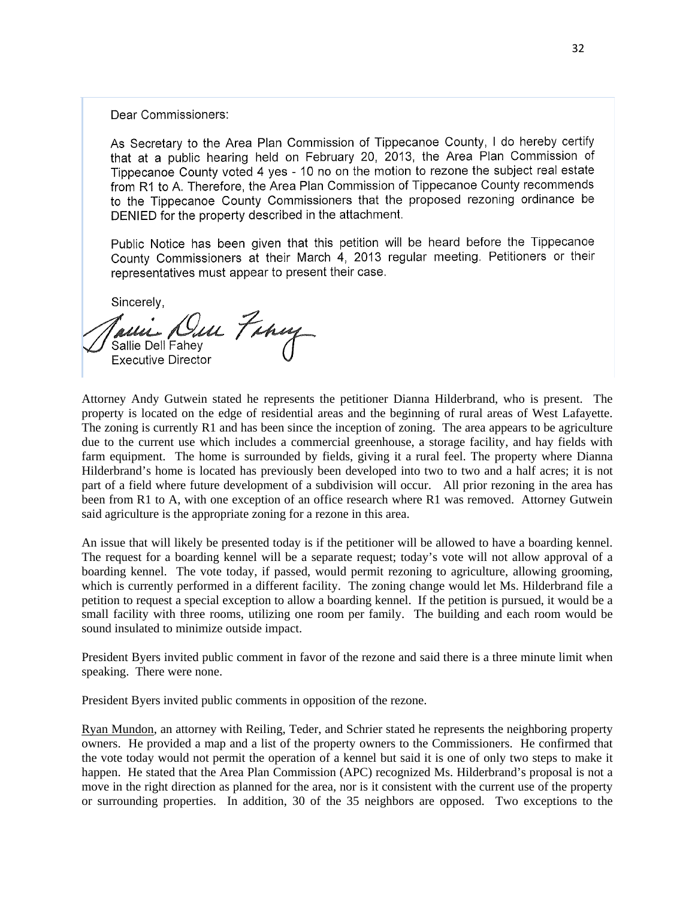Dear Commissioners:

As Secretary to the Area Plan **Commission** of Tippecanoe County, *I* do hereby certify **that** at a public hearing held on February 20 2013 the Area Plan Commission of Tippecanoe County voted 4 yes-1O no on the motion to rezone the subject real estate from R1 to A. Therefore, the Area Plan **Commission** of Tippecanoe County recommends to the Tippecanoe County Commissioners that the proposed rezoning ordinance be DENIED for the property described in the attachment.

Public Notice has been given that this petition will be heard before the Tippecanoe County **Commissioners** at their March 4, 2013 regular meeting. Petitioners or their representatives **must** appear to present their case.

Sincerely,

Im Farmy Sallie Dell Fahey Executive Director

Attorney Andy Gutwein stated he represents the petitioner Dianna Hilderbrand, who is present. The Attorney Andy Gutwein stated he represents the petitioner Dianna Hilderbrand, who is present. The property is located on the edge of residential areas and the beginning of rural areas of West Lafayette. property is located on the edge of residential areas and the beginning of rural areas of West Lafayette. The zoning is currently R1 and has been since the inception of zoning. The area appears to be agriculture The zoning is currently R1 and has been since the inception of zoning. The area appears to be agriculture due to the current use which includes a commercial greenhouse, a storage facility, and hay fields with farm equipment. The home is surrounded by fields, giving it a rural feel. The property where Dianna farm equipment. The home is surrounded by fields, giving it a rural feel. The property Where Dianna Hilderbrand's home is located has previously been developed into two to two and a half acres; it is not Hilderbrand's home is located has previously been developed into two to two and a half acres; it is not part of a field where future development of a subdivision will occur. All prior rezoning in the area has part of a field Where filture development of **a** subdivision Will occur. All prior rezoning in the area has been from R1 to A, with one exception of an office research where R1 was removed. Attorney Gutwein been from R1 to A, with one exception of an office research Where R1 was removed. Attorney Gutwein said agriculture is the appropriate zoning for a rezone in this area. said agriculture is the appropriate zoning for a rezone in this area.

An issue that will likely be presented today is if the petitioner will be allowed to have a boarding kennel. The request for a boarding kennel will be a separate request; today's vote will not allow approval of a The request for a boarding kennel will be a separate request; today's vote will not allow approval of a boarding kennel. The vote today, if passed, would permit rezoning to agriculture, allowing grooming, boarding kennel. The vote today, if passed, would permit rezoning to agriculture, allowing grooming, which is currently performed in a different facility. The zoning change would let Ms. Hilderbrand file a which is currently performed in a different facility. The zoning change would let Ms. Hilderbrand file a petition to request a special exception to allow a boarding kennel. If the petition is pursued, it would be a small facility with three rooms, utilizing one room per family. The building and each room would be small facility With three rooms, utilizing one room per family. The building and each room would be sound insulated to minimize outside impact. sound insulated to minimize outside impact.

President Byers invited public comment in favor of the rezone and said there is a three minute limit when President Byers invited public comment in favor of the rezone and said there is a three minute limit when speaking. There were none. speaking. There were none.

President Byers invited public comments in opposition of the rezone. President Byers invited public comments in opposition of the rezone.

Ryan Mundon, an attorney with Reiling, Teder, and Schrier stated he represents the neighboring property owners. He provided a map and a list of the property owners to the Commissioners. He confirmed that the vote today would not permit the operation of a kennel but said it is one of only two steps to make it the vote today would not permit the operation of a kennel but said it is one of only two steps to make it happen. He stated that the Area Plan Commission (APC) recognized Ms. Hilderbrand's proposal is not a happen. He stated **that** the Area Plan Commission (APC) recognized Ms. Hilderbrand's proposal is not a move in the right direction as planned for the area, nor is it consistent with the current use of the property move in the right direction as planned for the area, nor is it consistent with the current use of the property or surrounding properties. In addition, 30 of the 35 neighbors are opposed. Two exceptions to the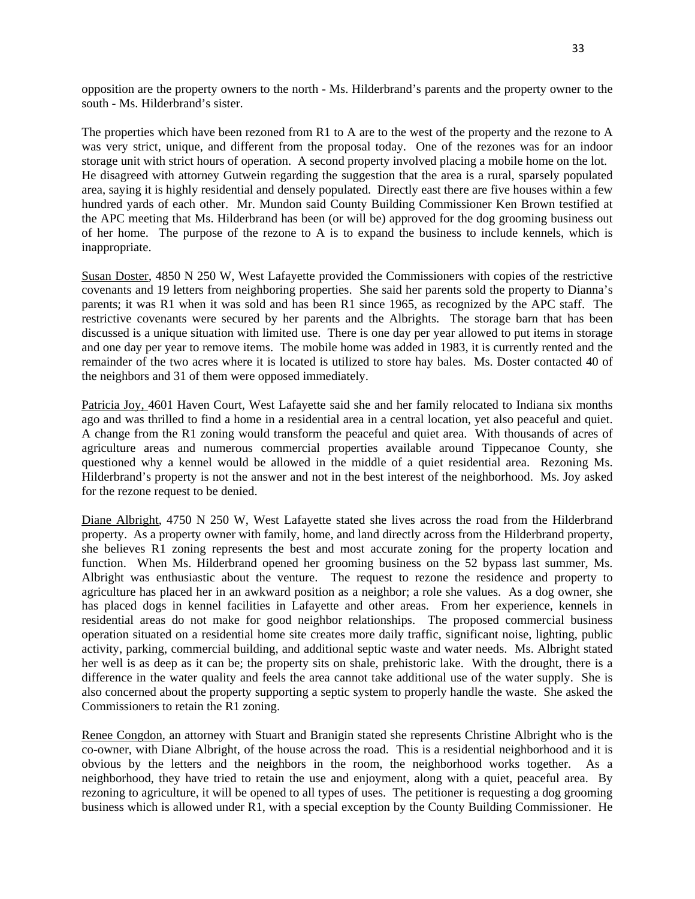opposition are the property owners to the north - Ms. Hilderbrand's parents and the property owner to the opposition are the property owners to the north - Ms. Hilderbrand's parents and the property owner to the south - Ms. Hilderbrand's sister. south - Ms. Hilderbrand's sister.

The properties which have been rezoned from R1 to A are to the west of the property and the rezone to A The properties which have been rezoned from R1 to **A** are to the west of the property and the rezone to **A**  was very strict, unique, and different from the proposal today. One of the rezones was for an indoor was very strict, unique, and different from the proposal today. One of the rezones was for an indoor storage unit with strict hours of operation. A second property involved placing a mobile home on the lot. storage unit with strict hours of operation. **A** second property involved placing a mobile home on the lot. He disagreed with attorney Gutwein regarding the suggestion that the area is a rural, sparsely populated He disagreed with attorney Gutwein regarding the suggestion that the area is a rural, sparsely populated area, saying it is highly residential and densely populated. Directly east there are five houses within a few area, saying it is highly residential and densely populated. Directly east there are five houses Within a few hundred yards of each other. Mr. Mundon said County Building Commissioner Ken Brown testified at hundred yards of each other. Mr. Mundon said County Building Commissioner Ken Brown testified at the APC meeting that Ms. Hilderbrand has been (or will be) approved for the dog grooming business out the APC meeting that Ms. Hilderbrand has been (or Will be) approved for the dog grooming business out of her home. The purpose of the rezone to A is to expand the business to include kennels, which is of her home. The purpose of the rezone to **A** is to expand the business to include kennels, which is inappropriate. inappropriate.

Susan Doster, 4850 N 250 W, West Lafayette provided the Commissioners with copies of the restrictive Susan Doster, 4850 N 250 W, West Lafayette provided the Commissioners with copies of the restrictive covenants and 19 letters from neighboring properties. She said her parents sold the property to Dianna's covenants and 19 letters from neighboring properties. She said her parents sold the property to Dianna's parents; it was R1 when it was sold and has been R1 since 1965, as recognized by the APC staff. The parents; it was R1 when it was sold and has been R1 since 1965, as recognized by the APC staff. The restrictive covenants were secured by her parents and the Albrights. The storage barn that has been discussed is a unique situation with limited use. There is one day per year allowed to put items in storage discussed is a unique situation with limited **use.** There is one day per year allowed to put items in storage and one day per year to remove items. The mobile home was added in 1983, it is currently rented and the and one day per year to remove items. The mobile home was added in 1983, it is currently rented and the remainder of the two acres where it is located is utilized to store hay bales. Ms. Doster contacted 40 of remainder of the two acres Where it is located is utilized to store hay bales. Ms. Doster contacted 40 of the neighbors and 31 of them were opposed immediately. the neighbors and 31 of them were opposed immediately.

Patricia Joy, 4601 Haven Court, West Lafayette said she and her family relocated to Indiana six months ago and was thrilled to find a home in a residential area in a central location, yet also peaceful and quiet. A change from the R1 zoning would transform the peaceful and quiet area. With thousands of acres of **A** change from the R1 zoning would transform the peaceful and quiet area. With thousands of acres of agriculture areas and numerous commercial properties available around Tippecanoe County, she agriculture areas and numerous commercial properties available around Tippecanoe County, she questioned why a kennel would be allowed in the middle of a quiet residential area. Rezoning Ms. questioned Why **a** kennel would be allowed in the middle of a quiet residential area. Rezoning Ms. Hilderbrand's property is not the answer and not in the best interest of the neighborhood. Ms. Joy asked Hilderbrand's property is not the answer and not in the best interest of the neighborhood. Ms. Joy asked for the rezone request to be denied. for the rezone request to be denied.

Diane Albright, 4750 N 250 W, West Lafayette stated she lives across the road from the Hilderbrand property. As a property owner with family, home, and land directly across from the Hilderbrand property, property. As a property owner with family, home, and land directly across from the Hilderbrand property, she believes R1 zoning represents the best and most accurate zoning for the property location and she believes R1 zoning represents the best and most accurate zoning for the property location and function. When Ms. Hilderbrand opened her grooming business on the 52 bypass last summer, Ms. function. When Ms. Hilderbrand opened her grooming business on the 52 bypass last summer, Ms. Albright was enthusiastic about the venture. The request to rezone the residence and property to agriculture has placed her in an awkward position as a neighbor; a role she values. As a dog owner, she agriculture has placed her in an awkward position as a neighbor; **a** role she values. As a dog owner, she has placed dogs in kennel facilities in Lafayette and other areas. From her experience, kennels in has placed dogs in kennel facilities in Lafayette and other areas. From her experience, kennels in residential areas do not make for good neighbor relationships. The proposed commercial business residential areas do not make for good neighbor relationships. The proposed commercial business operation situated on a residential home site creates more daily traffic, significant noise, lighting, public operation situated on a residential home site creates more daily traffic, significant noise, lighting, public activity, parking, commercial building, and additional septic waste and water needs. Ms. Albright stated activity, parking, commercial building, and additional septic waste and water needs. Ms. Albright stated her well is as deep as it can be; the property sits on shale, prehistoric lake. With the drought, there is a difference in the water quality and feels the area cannot take additional use of the water supply. She is difference in the water quality and feels the area cannot take additional use of the water supply. She is also concerned about the property supporting a septic system to properly handle the waste. She asked the also concerned about the property supporting a septic system to properly handle the waste. She asked the Commissioners to retain the R1 zoning. Commissioners to retain the R1 zoning.

Renee Congdon, an attorney with Stuart and Branigin stated she represents Christine Albright who is the co-owner, with Diane Albright, of the house across the road. This is a residential neighborhood and it is co-owner, With Diane Albright, of the house across the road. This is a residential neighborhood and it is obvious by the letters and the neighbors in the room, the neighborhood works together. As a obvious by the letters and the neighbors in the room, the neighborhood works together. As **<sup>a</sup>** neighborhood, they have tried to retain the use and enjoyment, along with a quiet, peaceful area. By neighborhood, they have tried to retain the use and enjoyment, along with a quiet, peaceful area. By rezoning to agriculture, it will be opened to all types of uses. The petitioner is requesting a dog grooming business which is allowed under R1, with a special exception by the County Building Commissioner. He business Which is allowed under R1, with **a** special exception by the County Building Commissioner. He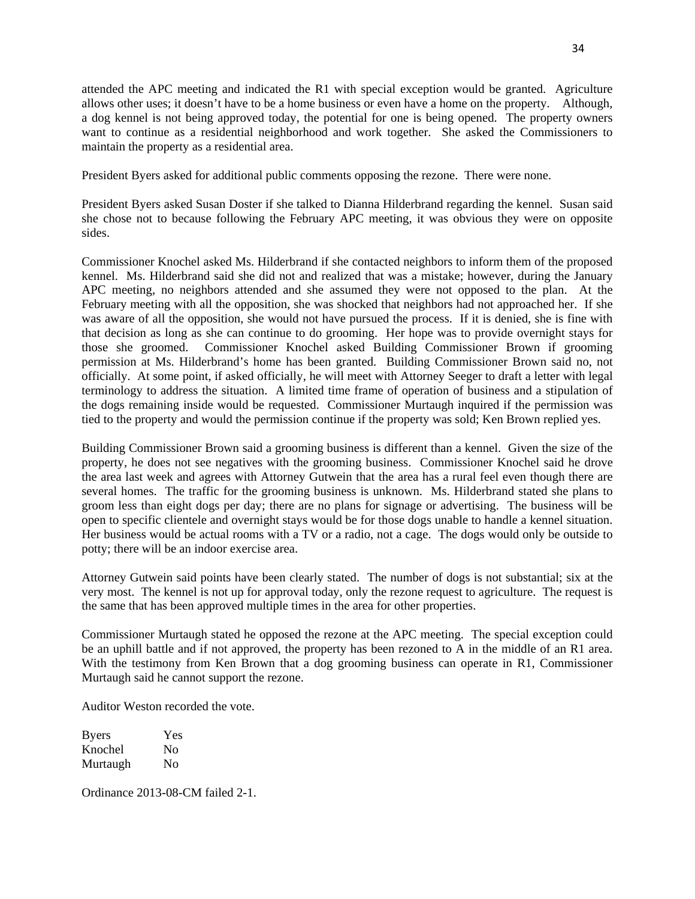attended the APC meeting and indicated the R1 with special exception would be granted. Agriculture attended the APC meeting and indicated the R1 with special exception would be granted. Agriculture allows other uses; it doesn't have to be a home business or even have a home on the property. Although, a dog kennel is not being approved today, the potential for one is being opened. The property owners a dog kennel is not being approved today, the potential for one is being opened. The property owners want to continue as a residential neighborhood and work together. She asked the Commissioners to want to continue as **a** residential neighborhood and work together. She asked the Commissioners to maintain the property as a residential area. maintain the property as **a** residential area.

President Byers asked for additional public comments opposing the rezone. There were none. President Byers asked for additional public comments opposing the rezone. There were none.

President Byers asked Susan Doster if she talked to Dianna Hilderbrand regarding the kennel. Susan said President Byers asked Susan Doster if she talked to Dianna Hilderbrand regarding the kennel. Susan said she chose not to because following the February APC meeting, it was obvious they were on opposite she chose not to because following the February APC meeting, it was obvious they were on opposite sides. sides.

Commissioner Knochel asked Ms. Hilderbrand if she contacted neighbors to inform them of the proposed Commissioner Knochel asked Ms. Hilderbrand if she contacted neighbors to inform **them** of the proposed kennel. Ms. Hilderbrand said she did not and realized that was a mistake; however, during the January kennel. Ms. Hilderbrand said she did not and realized that was a mistake; however, during the January APC meeting, no neighbors attended and she assumed they were not opposed to the plan. At the APC meeting, no neighbors attended and she assumed they were not opposed to the plan. At the February meeting with all the opposition, she was shocked that neighbors had not approached her. If she February meeting With all the opposition, she was shocked that neighbors had not approached her. If she was aware of all the opposition, she would not have pursued the process. If it is denied, she is fine with was aware of all the opposition, she would not have pursued the process. If it is denied, she is fine with that decision as long as she can continue to do grooming. Her hope was to provide overnight stays for **that** decision as long as she can continue to do grooming. Her hope was to provide overnight stays for those she groomed. Commissioner Knochel asked Building Commissioner Brown if grooming those she groomed. Commissioner Knochel asked Building Commissioner Brown if grooming permission at Ms. Hilderbrand's home has been granted. Building Commissioner Brown said no, not officially. At some point, if asked officially, he will meet with Attorney Seeger to draft a letter with legal officially. At some point, if asked officially, he Will meet with Attorney Seeger to draft a letter with legal terminology to address the situation. A limited time frame of operation of business and a stipulation of terminology to address the situation. **A** limited time frame of operation of business and a stipulation of the dogs remaining inside would be requested. Commissioner Murtaugh inquired if the permission was the dogs remaining inside would be requested. Commissioner Murtaugh inquired if the permission was tied to the property and would the permission continue if the property was sold; Ken Brown replied yes. tied to the property and would the permission continue if the property was sold; Ken Brown replied yes.

Building Commissioner Brown said a grooming business is different than a kennel. Given the size of the Building Commissioner Brown said a grooming business is different than a kennel. Given the size of the property, he does not see negatives with the grooming business. Commissioner Knochel said he drove property, he does not see negatives with the grooming business. Commissioner Knochel said he drove the area last week and agrees with Attorney Gutwein that the area has a rural feel even though there are the area last week and agrees With Attorney Gutwein that the area has a rural feel even though there are several homes. The traffic for the grooming business is unknown. Ms. Hilderbrand stated she plans to several **homes.** The traffic for the grooming business is unknown. Ms. Hilderbrand stated she plans to groom less than eight dogs per day; there are no plans for signage or advertising. The business will be groom less than eight dogs per day; there are no plans for signage or advertising. The business will be open to specific clientele and overnight stays would be for those dogs unable to handle a kennel situation. open to specific clientele and overnight stays would be for those dogs unable to handle **a** kennel situation. Her business would be actual rooms with a TV or a radio, not a cage. The dogs would only be outside to Her business would be actual rooms With a TV or a radio, not a cage. The dogs would only be outside to potty; there will be an indoor exercise area. potty; there will be an indoor exercise area.

Attorney Gutwein said points have been clearly stated. The number of dogs is not substantial; six at the Attorney Gutwein said points **have** been clearly stated. The number of dogs is not substantial; six at the very most. The kennel is not up for approval today, only the rezone request to agriculture. The request is very most. The kennel is not up for approval today, only the rezone request to agriculture. The request is the same that has been approved multiple times in the area for other properties. the same that has been approved multiple times in the area for other properties.

Commissioner Murtaugh stated he opposed the rezone at the APC meeting. The special exception could Commissioner Murtaugh stated he opposed the rezone at the APC meeting. The special exception could be an uphill battle and if not approved, the property has been rezoned to A in the middle of an R1 area. be an uphill battle and if not approved, the property has been rezoned to **A** in the middle of an R1 area. With the testimony from Ken Brown that a dog grooming business can operate in R1, Commissioner With the testimony from Ken Brown **that** a dog grooming business can operate in R1, Commissioner Murtaugh said he cannot support the rezone. Murtaugh said he cannot support the rezone.

Auditor Weston recorded the vote. Auditor Weston recorded the vote.

| <b>Byers</b> | Yes |
|--------------|-----|
| Knochel      | No  |
| Murtaugh     | No  |

Ordinance 2013-08-CM failed 2-1. Ordinance 2013-08-CM failed 2—1.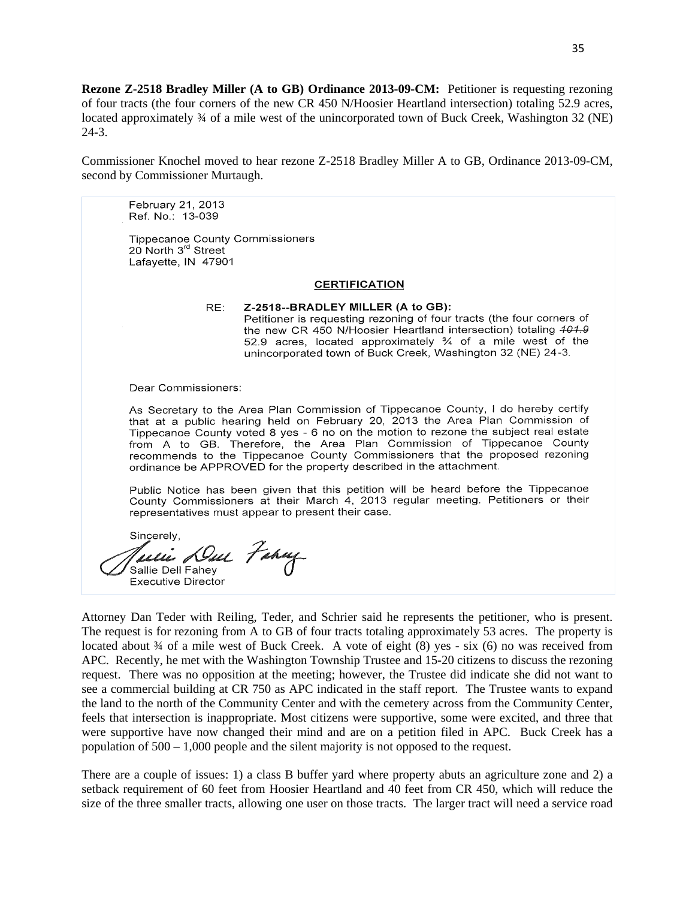Rezone Z-2518 Bradley Miller (A to GB) Ordinance 2013-09-CM: Petitioner is requesting rezoning of four tracts (the four corners of the new CR 450 N/Hoosier Heartland intersection) totaling 52.9 acres, of four tracts (the four corners of the new CR 450 N/Hoosier Heartland intersection) totaling 52.9 acres, located approximately 34 of a mile west of the unincorporated town of Buck Creek, Washington 32 (NE) 24-3. 24—3.

Commissioner Knochel moved to hear rezone Z-2518 Bradley Miller A to GB, Ordinance 2013-09-CM, Commissioner Knochel moved to hear rezone Z-2518 Bradley Miller **A** to GB, Ordinance 2013-09-CM, second by Commissioner Murtaugh. second by Commissioner Murtaugh.

February 21, 2013 **Ref. No.:** 13—039

Tippecanoe County Commissioners 20 North 3<sup>rd</sup> Street Lafayette, IN 47901

#### **CERTIFICATION**

RE: Z-2518—-BRADLEY MILLER (A to **GB):**  Petitioner is requesting rezoning of four tracts (the four corners of the new CR 450 N/Hoosier Heartland intersection) totaling 401.9 52.9 acres, located approximately % of a mile west of the unincorporated town of Buck Creek, Washington 32 (NE) 24—3.

Dear Commissioners:

As Secretary to the Area Plan **Commission** of Tippecanoe County, **I** do hereby **certify that** at a public hearing held on February 20, 2013 the Area Plan Commission of Tippecanoe **County** voted **8** yes **-** 6 no on the motion to rezone the subject real estate from A to GB. Therefore, the Area Plan Commission of Tippecanoe County recommends to the Tippecanoe County Commissioners that the proposed rezoning ordinance be APPROVED for the property described in the attachment.

Public Notice has been given **that** this petition will be heard before the Tippecanoe County **Commissioners** at **their** March 4, 2013 regular meeting. Petitioners or their representatives must appear to present their case.

Sincerely,<br>Tullie Dull Fahay Sallie Dell Fahey Executive Director

Attorney Dan Teder with Reiling, Teder, and Schrier said he represents the petitioner, who is present. Attorney Dan Teder with Reiling, Teder, and Schrier said he represents the petitioner, who is present. The request is for rezoning from A to GB of four tracts totaling approximately 53 acres. The property is The request is for rezoning from **A** to GB of four tracts totaling approximately 53 acres. The property is located about 34 of a mile west of Buck Creek. A vote of eight (8) yes - six (6) no was received from APC. Recently, he met with the Washington Township Trustee and 15-20 citizens to discuss the rezoning APC. Recently, he met with the Washington Township Trustee and 15-20 citizens to discuss the rezoning request. There was no opposition at the meeting; however, the Trustee did indicate she did not want to request. There was no opposition at the meeting; however, the Trustee did indicate she did not want to see a commercial building at CR 750 as APC indicated in the staff report. The Trustee wants to expand the land to the north of the Community Center and with the cemetery across from the Community Center, the land to the north of the Community Center and With the cemetery across from the Community Center, feels that intersection is inappropriate. Most citizens were supportive, some were excited, and three that feels that intersection is inappropn'ate. Most citizens were supportive, some were excited, and three that were supportive have now changed their mind and are on a petition filed in APC. Buck Creek has a were supportive have now changed their mind and are on a petition filed in APC. Buck Creek has **<sup>a</sup>** population of 500 – 1,000 people and the silent majority is not opposed to the request. population of 500 — 1,000 people and the silent majority is not opposed to the request.

There are a couple of issues: 1) a class B buffer yard where property abuts an agriculture zone and 2) a There are a couple of issues: 1) a class B buffer yard Where property abuts an agriculture zone and 2) <sup>a</sup> setback requirement of 60 feet from Hoosier Heartland and 40 feet from CR 450, which will reduce the setback requirement of 60 feet from Hoosier Heartland and 40 feet from CR 450, which will reduce the size of the three smaller tracts, allowing one user on those tracts. The larger tract will need a service road size of the three smaller tracts, allowing one user on those tracts. The larger tract will need a service road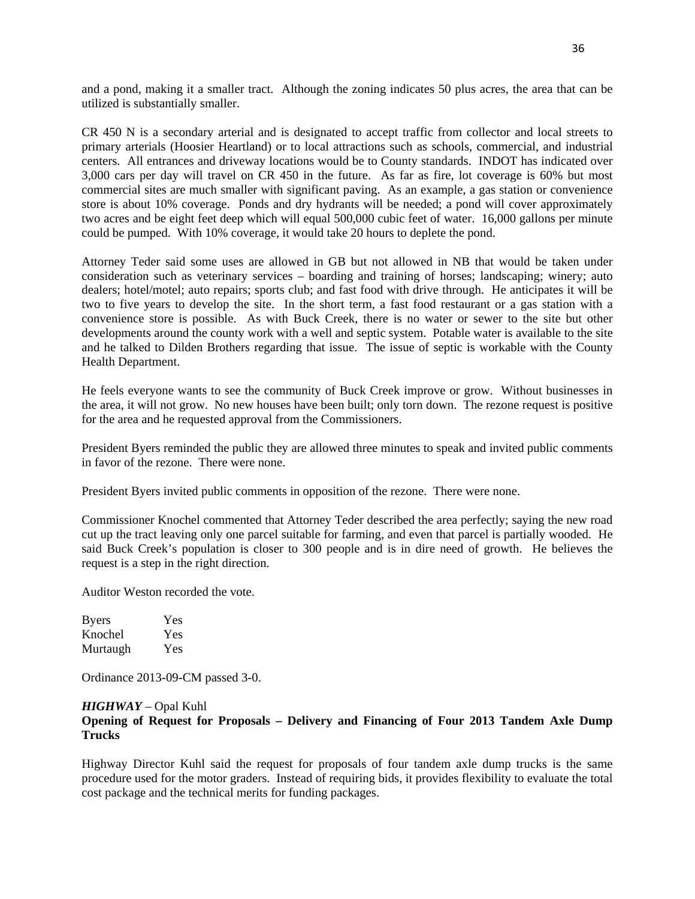and a pond, making it a smaller tract. Although the zoning indicates 50 plus acres, the area that can be and a pond, making it **a** smaller tract. Although the zoning indicates 50 plus acres, the area **that** can be utilized is substantially smaller. utilized is substantially smaller.

CR 450 N is a secondary arterial and is designated to accept traffic from collector and local streets to primary arterials (Hoosier Heartland) or to local attractions such as schools, commercial, and industrial centers. All entrances and driveway locations would be to County standards. INDOT has indicated over centers. All entrances and driveway locations would be to County standards. INDOT has indicated over 3,000 cars per day will travel on CR 450 in the future. As far as fire, lot coverage is 60% but most 3,000 cars per day will travel on CR 450 in the future. As far as fire, lot coverage is 60% but most commercial sites are much smaller with significant paving. As an example, a gas station or convenience commercial sites are much smaller With significant paving. As an example, a gas station or convenience store is about 10% coverage. Ponds and dry hydrants will be needed; a pond will cover approximately store is about 10% coverage. Ponds and dry hydrants will be needed; a pond will cover approximately two acres and be eight feet deep which will equal 500,000 cubic feet of water. 16,000 gallons per minute two acres and be eight feet deep which Will equal 500,000 cubic feet of water. 16,000 gallons per minute could be pumped. With 10% coverage, it would take 20 hours to deplete the pond. could be pumped. With 10% coverage, it would take 20 hours to deplete the pond.

Attorney Teder said some uses are allowed in GB but not allowed in NB that would be taken under Attorney Teder said some uses are allowed in GB but not allowed in NB that would be taken under consideration such as veterinary services – boarding and training of horses; landscaping; winery; auto consideration such as veterinary services — boarding and training of horses; landscaping; Winery; auto dealers; hotel/motel; auto repairs; sports club; and fast food with drive through. He anticipates it will be dealers; hotel/motel; auto repairs; sports club; and fast food with drive through. He anticipates it Will be two to five years to develop the site. In the short term, a fast food restaurant or a gas station with a two to five years to develop the site. In the short term, a fast food restaurant or a gas station with a convenience store is possible. As with Buck Creek, there is no water or sewer to the site but other convenience store is possible. As with Buck Creek, there is no water or sewer to the site but other developments around the county work with a well and septic system. Potable water is available to the site developments around the county work with a well and septic system. Potable water is available to the site and he talked to Dilden Brothers regarding that issue. The issue of septic is workable with the County and he talked to Dilden Brothers regarding that issue. The issue of septic is workable with the County Health Department. Health Department.

He feels everyone wants to see the community of Buck Creek improve or grow. Without businesses in He feels everyone wants to see the community of Buck Creek improve or grow. Without businesses in the area, it will not grow. No new houses have been built; only torn down. The rezone request is positive the area, it Will not grow. No new houses have been built; only torn down. The rezone request is positive for the area and he requested approval from the Commissioners. for the area and he requested approval from the Commissioners.

President Byers reminded the public they are allowed three minutes to speak and invited public comments President Byers reminded the public they are allowed three minutes to speak and invited public comments in favor of the rezone. There were none. in favor of the rezone. There were none.

President Byers invited public comments in opposition of the rezone. There were none. President Byers invited public comments in opposition of the rezone. There were none.

Commissioner Knochel commented that Attorney Teder described the area perfectly; saying the new road Commissioner Knochel commented that Attorney Teder described the area perfectly; saying the new road cut up the tract leaving only one parcel suitable for farming, and even that parcel is partially wooded. He cut up the tract leaving only one parcel suitable for farming, and even **that** parcel is partially wooded. He said Buck Creek's population is closer to 300 people and is in dire need of growth. He believes the request is a step in the right direction. request is a step in the right direction.

Auditor Weston recorded the vote. Auditor Weston recorded the vote.

| <b>Byers</b> | Yes |
|--------------|-----|
| Knochel      | Yes |
| Murtaugh     | Yes |

Ordinance 2013-09-CM passed 3-0. Ordinance 2013-09-CM passed 3-0.

### *HIGHWAY* – Opal Kuhl *HIGHWAY* — Opal Kuhl

# **Opening of Request for Proposals – Delivery and Financing of Four 2013 Tandem Axle Dump**  Opening of **Request** for **Proposals** — **Delivery** and Financing of **Four 2013 Tandem Axle** Dump **Trucks**  Trucks

Highway Director Kuhl said the request for proposals of four tandem axle dump trucks is the same Highway Director Kuhl said the request for proposals of four tandem axle dump trucks is the same procedure used for the motor graders. Instead of requiring bids, it provides flexibility to evaluate the total procedure used for the motor graders. Instead of requiring bids, it provides flexibility to evaluate the total cost package and the technical merits for funding packages.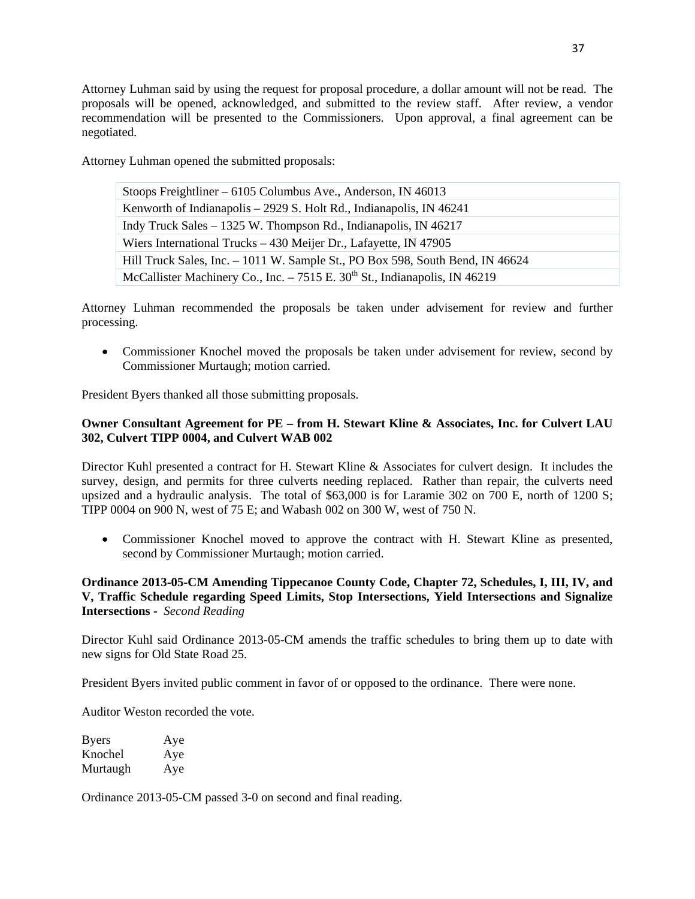Attorney Luhman said by using the request for proposal procedure, a dollar amount will not be read. The Attorney Luhman said by using the request for proposal procedure, a dollar amount will not be read. The proposals will be opened, acknowledged, and submitted to the review staff. After review, a vendor proposals will be opened, acknowledged, and submitted to the review staff. After review, **a** vendor recommendation will be presented to the Commissioners. Upon approval, a final agreement can be recommendation will be presented to the Commissioners. Upon approval, **a** final agreement can be negotiated. negotiated.

Attorney Luhman opened the submitted proposals: Attorney Luhman opened the submitted proposals:

| Stoops Freightliner – $6105$ Columbus Ave., Anderson, IN 46013                          |  |
|-----------------------------------------------------------------------------------------|--|
| Kenworth of Indianapolis – 2929 S. Holt Rd., Indianapolis, IN 46241                     |  |
| Indy Truck Sales – 1325 W. Thompson Rd., Indianapolis, IN 46217                         |  |
| Wiers International Trucks – 430 Meijer Dr., Lafayette, IN 47905                        |  |
| Hill Truck Sales, Inc. – 1011 W. Sample St., PO Box 598, South Bend, IN 46624           |  |
| McCallister Machinery Co., Inc. $-7515$ E. 30 <sup>th</sup> St., Indianapolis, IN 46219 |  |

Attorney Luhman recommended the proposals be taken under advisement for review and further Attorney Luhman recommended the proposals be taken under advisement for review and further processing. processing.

• Commissioner Knochel moved the proposals be taken under advisement for review, second by Commissioner Murtaugh; motion carried. Commissioner Murtaugh; motion cam'ed.

President Byers thanked all those submitting proposals. President Byers thanked all those submitting proposals.

# **Owner Consultant Agreement for PE – from H. Stewart Kline & Associates, Inc. for Culvert LAU**  Owner Consultant **Agreement** for PE — **from** H. **Stewart** Kline **& Associates,** Inc. for Culvert LAU **302, Culvert TIPP 0004, and Culvert WAB 002 302,** Culvert **TIPP 0004,** and Culvert WAB 002

Director Kuhl presented a contract for H. Stewart Kline & Associates for culvert design. It includes the survey, design, and permits for three culverts needing replaced. Rather than repair, the culverts need upsized and a hydraulic analysis. The total of \$63,000 is for Laramie 302 on 700 E, north of 1200 S; upsized and a hydraulic analysis. The total of \$63,000 is for Laramie 302 on 700 E, north of 1200 S; TIPP 0004 on 900 N, west of 75 E; and Wabash 002 on 300 W, west of 750 N. **TIPP** 0004 on 900 N, west of 75 E; and Wabash 002 on 300 W, west of 750 N.

• Commissioner Knochel moved to approve the contract with H. Stewart Kline as presented, second by Commissioner Murtaugh; motion carried. second by Commissioner Murtaugh; motion can'ied.

# **Ordinance 2013-05-CM Amending Tippecanoe County Code, Chapter 72, Schedules, I, III, IV, and**  Ordinance **2013-05—CM** Amending **Tippecanoe County Code, Chapter** 72, Schedules, I, III, IV, and **V, Traffic Schedule regarding Speed Limits, Stop Intersections, Yield Intersections and Signalize**  V, Traffic Schedule regarding **Speed** Limits, **Stop** Intersections, Yield Intersections and Signalize **Intersections -** *Second Reading*  Intersections *- Second Reading*

Director Kuhl said Ordinance 2013-05-CM amends the traffic schedules to bring them up to date with Director Kuhl said Ordinance 2013-05-CM amends the traffic schedules to bring them up to date with new signs for Old State Road 25. new signs for Old State Road 25.

President Byers invited public comment in favor of or opposed to the ordinance. There were none. President Byers invited public comment in favor of or opposed to the ordinance. There were none.

Auditor Weston recorded the vote. Auditor Weston recorded the vote.

| <b>Byers</b> | Aye |
|--------------|-----|
| Knochel      | Aye |
| Murtaugh     | Aye |

Ordinance 2013-05-CM passed 3-0 on second and final reading. Ordinance 2013-05-CM passed 3-0 on second and final reading.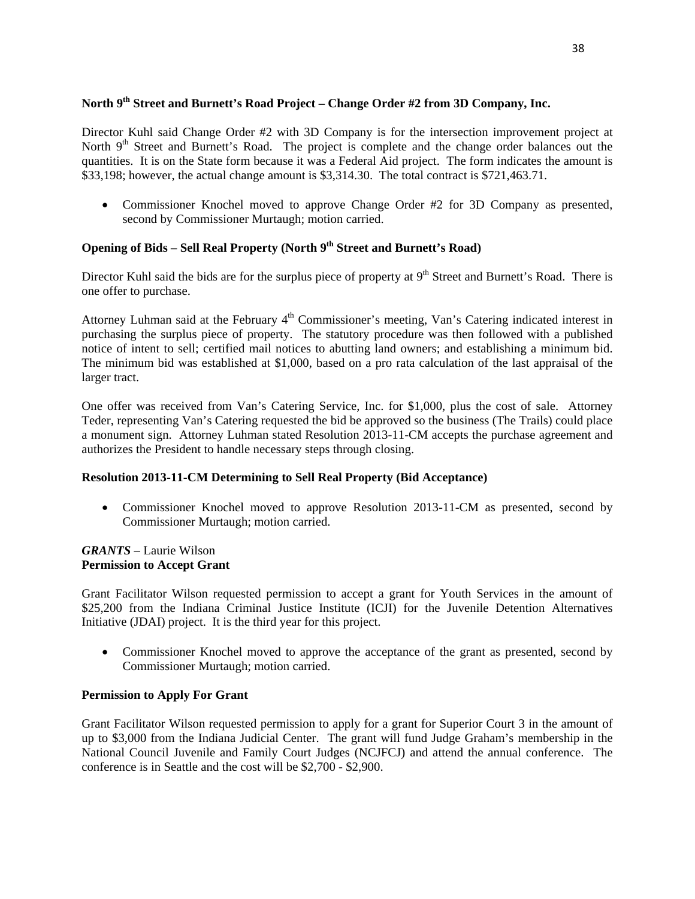# North 9<sup>th</sup> Street and Burnett's Road Project – Change Order #2 from 3D Company, Inc.

Director Kuhl said Change Order #2 with 3D Company is for the intersection improvement project at Director Kuhl said Change Order #2 with 3D Company is for the intersection improvement project at North 9<sup>th</sup> Street and Burnett's Road. The project is complete and the change order balances out the quantities. It is on the State form because it was a Federal Aid project. The form indicates the amount is quantities. It is on the State form because it was a Federal Aid project. The form indicates the amount is \$33,198; however, the actual change amount is \$3,314.30. The total contract is \$721,463.71. \$33,198; however, the actual change amount is \$3,314.30. The total contract is \$721,463.71.

• Commissioner Knochel moved to approve Change Order #2 for 3D Company as presented, second by Commissioner Murtaugh; motion carried.

# **Opening of Bids – Sell Real Property (North 9th Street and Burnett's Road)**  Opening of **Bids** — Sell **Real Property (North** 9th Street and **Burnett's Road)**

Director Kuhl said the bids are for the surplus piece of property at 9<sup>th</sup> Street and Burnett's Road. There is one offer to purchase. one offer to purchase.

Attorney Luhman said at the February 4<sup>th</sup> Commissioner's meeting, Van's Catering indicated interest in purchasing the surplus piece of property. The statutory procedure was then followed with a published purchasing the surplus piece of property. The statutory procedure was then followed with **<sup>a</sup>**published notice of intent to sell; certified mail notices to abutting land owners; and establishing a minimum bid. The minimum bid was established at \$1,000, based on a pro rata calculation of the last appraisal of the The minimum bid was established at \$1,000, based on a pro rata calculation of the last appraisal of the larger tract. larger tract.

One offer was received from Van's Catering Service, Inc. for \$1,000, plus the cost of sale. Attorney One offer was received from Van's Caten'ng Service, Inc. for \$1,000, plus the cost of sale. Attorney Teder, representing Van's Catering requested the bid be approved so the business (The Trails) could place Teder, representing Van's Catering requested the bid be approved so the business (The Trails) could place a monument sign. Attorney Luhman stated Resolution 2013-11-CM accepts the purchase agreement and a monument sign. Attorney Luhman stated Resolution 2013-11-CM accepts the purchase agreement and authorizes the President to handle necessary steps through closing. authorizes the President to handle necessary steps through closing.

# **Resolution 2013-11-CM Determining to Sell Real Property (Bid Acceptance)**  Resolution **2013-11-CM** Determining to Sell **Real Property (Bid Acceptance)**

• Commissioner Knochel moved to approve Resolution 2013-11-CM as presented, second by Commissioner Murtaugh; motion carried. Commissioner Murtaugh; motion carried.

# *GRANTS* – Laurie Wilson *GRANTS* — Laun'e Wilson **Permission to Accept Grant**  Permission to **Accept** Grant

Grant Facilitator Wilson requested permission to accept a grant for Youth Services in the amount of Grant Facilitator Wilson requested permission to accept **<sup>a</sup>**grant for Youth Services in the amount of \$25,200 from the Indiana Criminal Justice Institute (ICJI) for the Juvenile Detention Alternatives \$25,200 from the Indiana Criminal Justice Institute (ICJI) for the Juvenile Detention Alternatives Initiative (JDAI) project. It is the third year for this project. Initiative (JDAI) project. It is the third year for this project.

• Commissioner Knochel moved to approve the acceptance of the grant as presented, second by Commissioner Murtaugh; motion carried. Commissioner Murtaugh; motion carried.

# **Permission to Apply For Grant**  Permission to **Apply** For **Grant**

Grant Facilitator Wilson requested permission to apply for a grant for Superior Court 3 in the amount of Grant Facilitator Wilson requested permission to apply for a grant for Superior Court **3** in the amount of up to \$3,000 from the Indiana Judicial Center. The grant will fund Judge Graham's membership in the up to \$3,000 from the Indiana Judicial Center. The grant will fund Judge Graham's membership in the National Council Juvenile and Family Court Judges (NCJFCJ) and attend the annual conference. The conference is in Seattle and the cost will be \$2,700 - \$2,900. conference is in Seattle and the cost will be \$2,700 *-* \$2,900.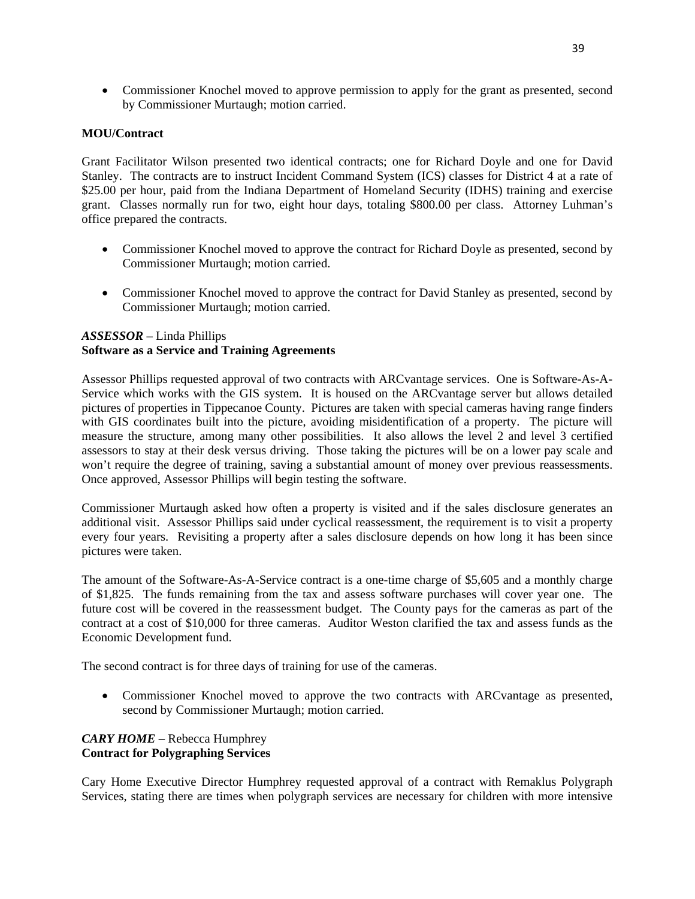• Commissioner Knochel moved to approve permission to apply for the grant as presented, second by Commissioner Murtaugh; motion carried. by Commissioner Murtaugh; motion carried.

#### **MOU/Contract**  MOU/Contract

Grant Facilitator Wilson presented two identical contracts; one for Richard Doyle and one for David Grant Facilitator Wilson presented two identical contracts; one for Richard Doyle and one for David Stanley. The contracts are to instruct Incident Command System (ICS) classes for District 4 at a rate of Stanley. The contracts are to instruct Incident Command System (ICS) classes for District 4 at a rate of \$25.00 per hour, paid from the Indiana Department of Homeland Security (IDHS) training and exercise \$25.00 per hour, paid from the Indiana Department of Homeland Security (IDHS) training and exercise grant. Classes normally run for two, eight hour days, totaling \$800.00 per class. Attorney Luhman's grant. Classes normally run for two, eight hour days, totaling \$800.00 per class. Attorney Luhman's office prepared the contracts. office prepared the contracts.

- Commissioner Knochel moved to approve the contract for Richard Doyle as presented, second by Commissioner Murtaugh; motion carried. Commissioner Murtaugh; motion carried.
- Commissioner Knochel moved to approve the contract for David Stanley as presented, second by Commissioner Murtaugh; motion carried. Commissioner Murtaugh; motion carried.

#### *ASSESSOR* – Linda Phillips *ASSESSOR* — Linda Phillips **Software as a Service and Training Agreements Software** as **a** Service and Training Agreements

Assessor Phillips requested approval of two contracts with ARCvantage services. One is Software-As-A-Assessor Phillips requested approval of two contracts with ARCvantage services. One is Software-As—A-Service which works with the GIS system. It is housed on the ARCvantage server but allows detailed Service which works with the GIS system. It is housed on the ARCvantage server but allows detailed pictures of properties in Tippecanoe County. Pictures are taken with special cameras having range finders pictures of properties in Tippecanoe County. Pictures are taken with special cameras having range finders with GIS coordinates built into the picture, avoiding misidentification of a property. The picture will with GIS coordinates built into the picture, avoiding misidentification of **<sup>a</sup>**property. The picture Will measure the structure, among many other possibilities. It also allows the level 2 and level 3 certified assessors to stay at their desk versus driving. Those taking the pictures will be on a lower pay scale and assessors to stay at their desk versus driving. Those taking the pictures Will be on **a** lower pay scale and won't require the degree of training, saving a substantial amount of money over previous reassessments. won't require the degree of training, saving a substantial amount of money over previous reassessments. Once approved, Assessor Phillips will begin testing the software. Once approved, Assessor Phillips will begin testing the software.

Commissioner Murtaugh asked how often a property is visited and if the sales disclosure generates an Commissioner Murtaugh asked how often a property is Visited and if the sales disclosure generates an additional visit. Assessor Phillips said under cyclical reassessment, the requirement is to visit a property additional Visit. Assessor Phillips said under cyclical reassessment, the requirement is to **Visit** <sup>a</sup>property every four years. Revisiting a property after a sales disclosure depends on how long it has been since every four years. Revisiting a property after a sales disclosure depends on how long it has been since pictures were taken. pictures were taken.

The amount of the Software-As-A-Service contract is a one-time charge of \$5,605 and a monthly charge of \$1,825. The funds remaining from the tax and assess software purchases will cover year one. The future cost will be covered in the reassessment budget. The County pays for the cameras as part of the future cost will be covered in the reassessment budget. The County pays for the cameras as part of the contract at a cost of \$10,000 for three cameras. Auditor Weston clarified the tax and assess funds as the contract at a cost of \$10,000 for three cameras. Auditor Weston clarified the tax and assess funds as the Economic Development fund. Economic Development fund.

The second contract is for three days of training for use of the cameras. The second contract is for three days of training for use of the cameras.

• Commissioner Knochel moved to approve the two contracts with ARCvantage as presented, second by Commissioner Murtaugh; motion carried. second by Commissioner Murtaugh; motion cam'ed.

#### *CARY HOME* **–** Rebecca Humphrey CAR *Y HOME* — Rebecca Humphrey **Contract for Polygraphing Services Contract** for Polygraphing **Services**

Cary Home Executive Director Humphrey requested approval of a contract with Remaklus Polygraph Cary Home Executive Director Humphrey requested approval of **a** contract with Remaklus Polygraph Services, stating there are times when polygraph services are necessary for children with more intensive Services, stating there are times when polygraph services are necessary for children with more intensive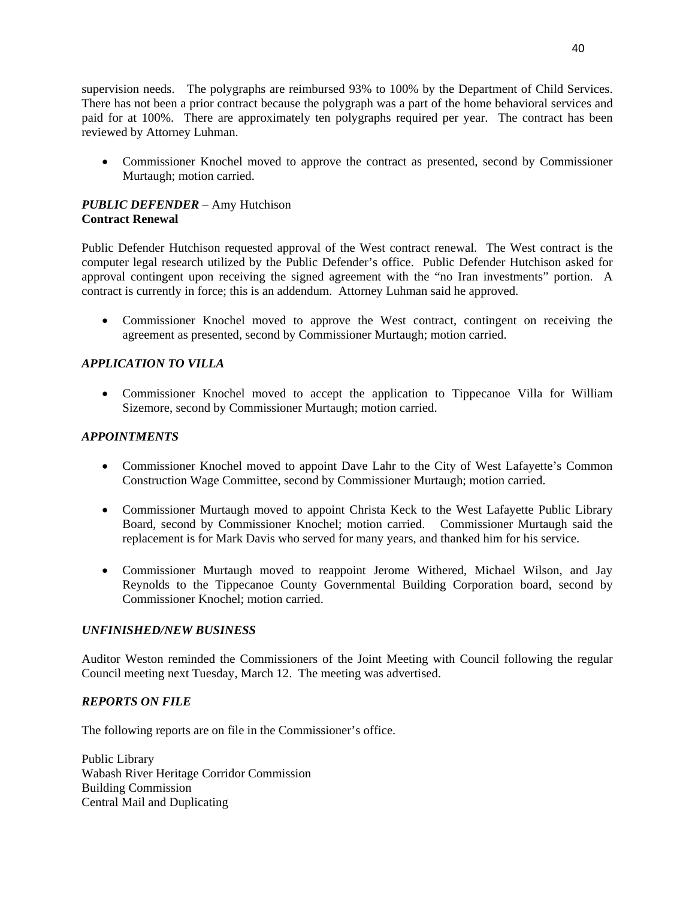supervision needs. The polygraphs are reimbursed 93% to 100% by the Department of Child Services. supervision needs. The polygraphs are reimbursed 93% to 100% by the Department of Child Services. There has not been a prior contract because the polygraph was a part of the home behavioral services and paid for at 100%. There are approximately ten polygraphs required per year. The contract has been paid for at 100%. There are approximately ten polygraphs required per year. The contract has been reviewed by Attorney Luhman. reviewed by Attorney Luhman.

• Commissioner Knochel moved to approve the contract as presented, second by Commissioner Murtaugh; motion carried. Murtaugh; motion carried.

# *PUBLIC DEFENDER* – Amy Hutchison *PUBLIC DEFENDER* — Amy Hutchison **Contract Renewal Contract Renewal**

Public Defender Hutchison requested approval of the West contract renewal. The West contract is the Public Defender Hutchison requested approval of the West contract renewal. The West contract is the computer legal research utilized by the Public Defender's office. Public Defender Hutchison asked for computer legal research utilized by the Public Defender's office. Public Defender Hutchison asked for approval contingent upon receiving the signed agreement with the "no Iran investments" portion. A approval contingent upon receiving the signed agreement with the "no Iran investments" portion. **A**  contract is currently in force; this is an addendum. Attorney Luhman said he approved. contract is currently in force; this is an addendum. Attorney Luhman said he approved.

• Commissioner Knochel moved to approve the West contract, contingent on receiving the agreement as presented, second by Commissioner Murtaugh; motion carried. agreement as presented, second by Commissioner Murtaugh; motion carried.

# *APPLICATION TO VILLA APPLICATION T 0 VILLA*

• Commissioner Knochel moved to accept the application to Tippecanoe Villa for William Sizemore, second by Commissioner Murtaugh; motion carried. Sizemore, second by Commissioner Murtaugh; motion cam'ed.

# *APPOINTMENTS APPOINTMENTS*

- Commissioner Knochel moved to appoint Dave Lahr to the City of West Lafayette's Common Construction Wage Committee, second by Commissioner Murtaugh; motion carried. Construction Wage Committee, second by Commissioner Murtaugh; motion carried.
- Commissioner Murtaugh moved to appoint Christa Keck to the West Lafayette Public Library Board, second by Commissioner Knochel; motion carried. Commissioner Murtaugh said the Board, second by Commissioner Knochel; motion carried. Commissioner Murtaugh said the replacement is for Mark Davis who served for many years, and thanked him for his service. replacement is for Mark Davis who served for many years, and thanked him for his service.
- Commissioner Murtaugh moved to reappoint Jerome Withered, Michael Wilson, and Jay **0** Commissioner Murtaugh moved to reappoint Jerome Withered, Michael Wilson, and Jay Reynolds to the Tippecanoe County Governmental Building Corporation board, second by Reynolds to the Tippecanoe County Governmental Building Corporation board, second by Commissioner Knochel; motion carried. Commissioner Knochel; motion carried.

# $UNFINISHED/NEW BUSINESS$

Auditor Weston reminded the Commissioners of the Joint Meeting with Council following the regular Auditor Weston reminded the Commissioners of the Joint Meeting with Council following the regular Council meeting next Tuesday, March 12. The meeting was advertised. Council meeting next Tuesday, March 12. The meeting was advertised.

# *REPORTS ON FILE REPORTS* ON *FILE*

The following reports are on file in the Commissioner's office. The following reports are on file in the Commissioner's office.

Public Library Public Library Wabash River Heritage Corridor Commission Wabash River Heritage Corridor Commission Building Commission Building Commission Central Mail and Duplicating Central Mail and Duplicating